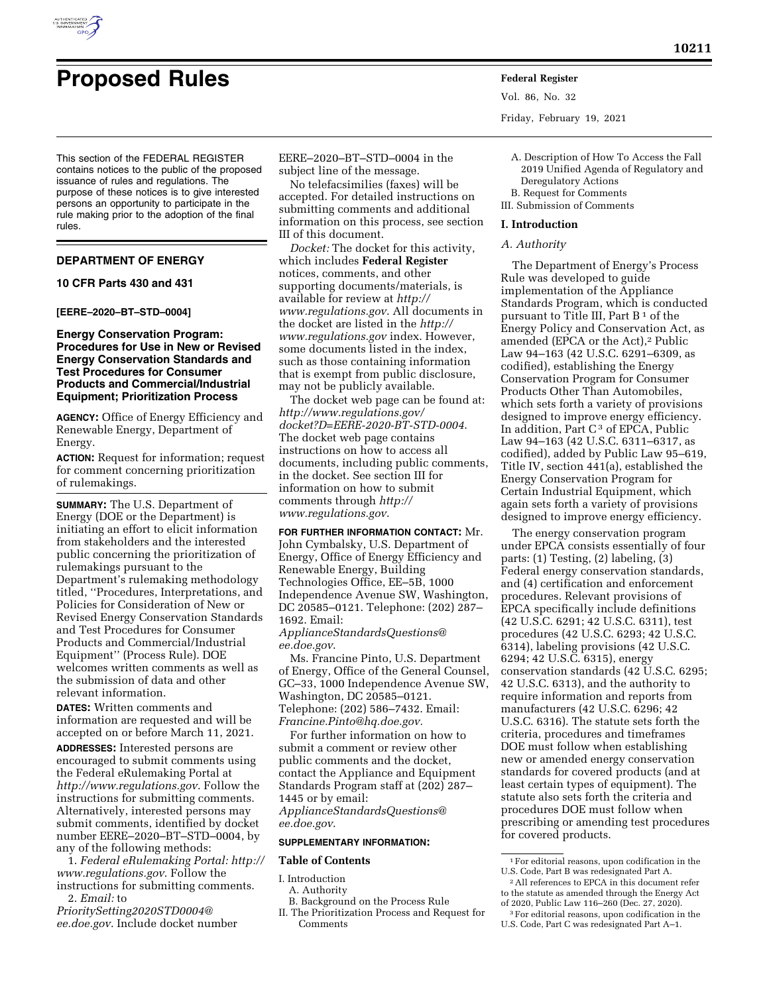

# **Proposed Rules Federal Register**

This section of the FEDERAL REGISTER contains notices to the public of the proposed issuance of rules and regulations. The purpose of these notices is to give interested persons an opportunity to participate in the rule making prior to the adoption of the final rules.

# **DEPARTMENT OF ENERGY**

## **10 CFR Parts 430 and 431**

#### **[EERE–2020–BT–STD–0004]**

## **Energy Conservation Program: Procedures for Use in New or Revised Energy Conservation Standards and Test Procedures for Consumer Products and Commercial/Industrial Equipment; Prioritization Process**

**AGENCY:** Office of Energy Efficiency and Renewable Energy, Department of Energy.

**ACTION:** Request for information; request for comment concerning prioritization of rulemakings.

**SUMMARY:** The U.S. Department of Energy (DOE or the Department) is initiating an effort to elicit information from stakeholders and the interested public concerning the prioritization of rulemakings pursuant to the Department's rulemaking methodology titled, ''Procedures, Interpretations, and Policies for Consideration of New or Revised Energy Conservation Standards and Test Procedures for Consumer Products and Commercial/Industrial Equipment'' (Process Rule). DOE welcomes written comments as well as the submission of data and other relevant information.

**DATES:** Written comments and information are requested and will be accepted on or before March 11, 2021.

**ADDRESSES:** Interested persons are encouraged to submit comments using the Federal eRulemaking Portal at *<http://www.regulations.gov>*. Follow the instructions for submitting comments. Alternatively, interested persons may submit comments, identified by docket number EERE–2020–BT–STD–0004, by any of the following methods:

1. *Federal eRulemaking Portal: [http://](http://www.regulations.gov)  [www.regulations.gov](http://www.regulations.gov)*. Follow the instructions for submitting comments. 2. *Email:* to

*[PrioritySetting2020STD0004@](mailto:PrioritySetting2020STD0004@ee.doe.gov) [ee.doe.gov](mailto:PrioritySetting2020STD0004@ee.doe.gov)*. Include docket number

EERE–2020–BT–STD–0004 in the subject line of the message.

No telefacsimilies (faxes) will be accepted. For detailed instructions on submitting comments and additional information on this process, see section III of this document.

*Docket:* The docket for this activity, which includes **Federal Register**  notices, comments, and other supporting documents/materials, is available for review at *[http://](http://www.regulations.gov) [www.regulations.gov](http://www.regulations.gov)*. All documents in the docket are listed in the *[http://](http://www.regulations.gov) [www.regulations.gov](http://www.regulations.gov)* index. However, some documents listed in the index, such as those containing information that is exempt from public disclosure, may not be publicly available.

The docket web page can be found at: *[http://www.regulations.gov/](http://www.regulations.gov/docket?D=EERE-2020-BT-STD-0004)  [docket?D=EERE-2020-BT-STD-0004](http://www.regulations.gov/docket?D=EERE-2020-BT-STD-0004)*. The docket web page contains instructions on how to access all documents, including public comments, in the docket. See section III for information on how to submit comments through *[http://](http://www.regulations.gov) [www.regulations.gov](http://www.regulations.gov)*.

**FOR FURTHER INFORMATION CONTACT:** Mr. John Cymbalsky, U.S. Department of Energy, Office of Energy Efficiency and Renewable Energy, Building Technologies Office, EE–5B, 1000 Independence Avenue SW, Washington, DC 20585–0121. Telephone: (202) 287– 1692. Email: *[ApplianceStandardsQuestions@](mailto:ApplianceStandardsQuestions@ee.doe.gov) [ee.doe.gov](mailto:ApplianceStandardsQuestions@ee.doe.gov)*.

Ms. Francine Pinto, U.S. Department of Energy, Office of the General Counsel, GC–33, 1000 Independence Avenue SW, Washington, DC 20585–0121. Telephone: (202) 586–7432. Email: *[Francine.Pinto@hq.doe.gov.](mailto:Francine.Pinto@hq.doe.gov)* 

For further information on how to submit a comment or review other public comments and the docket, contact the Appliance and Equipment Standards Program staff at (202) 287– 1445 or by email:

*[ApplianceStandardsQuestions@](mailto:ApplianceStandardsQuestions@ee.doe.gov) [ee.doe.gov](mailto:ApplianceStandardsQuestions@ee.doe.gov)*.

## **SUPPLEMENTARY INFORMATION:**

#### **Table of Contents**

I. Introduction

A. Authority

- B. Background on the Process Rule
- II. The Prioritization Process and Request for Comments

Vol. 86, No. 32 Friday, February 19, 2021

- A. Description of How To Access the Fall 2019 Unified Agenda of Regulatory and Deregulatory Actions B. Request for Comments
- III. Submission of Comments

#### **I. Introduction**

*A. Authority* 

The Department of Energy's Process Rule was developed to guide implementation of the Appliance Standards Program, which is conducted pursuant to Title III, Part B<sup>1</sup> of the Energy Policy and Conservation Act, as amended (EPCA or the Act),<sup>2</sup> Public Law 94–163 (42 U.S.C. 6291–6309, as codified), establishing the Energy Conservation Program for Consumer Products Other Than Automobiles, which sets forth a variety of provisions designed to improve energy efficiency. In addition, Part  $C<sup>3</sup>$  of EPCA, Public Law 94–163 (42 U.S.C. 6311–6317, as codified), added by Public Law 95–619, Title IV, section 441(a), established the Energy Conservation Program for Certain Industrial Equipment, which again sets forth a variety of provisions designed to improve energy efficiency.

The energy conservation program under EPCA consists essentially of four parts: (1) Testing, (2) labeling, (3) Federal energy conservation standards, and (4) certification and enforcement procedures. Relevant provisions of EPCA specifically include definitions (42 U.S.C. 6291; 42 U.S.C. 6311), test procedures (42 U.S.C. 6293; 42 U.S.C. 6314), labeling provisions (42 U.S.C. 6294; 42 U.S.C. 6315), energy conservation standards (42 U.S.C. 6295; 42 U.S.C. 6313), and the authority to require information and reports from manufacturers (42 U.S.C. 6296; 42 U.S.C. 6316). The statute sets forth the criteria, procedures and timeframes DOE must follow when establishing new or amended energy conservation standards for covered products (and at least certain types of equipment). The statute also sets forth the criteria and procedures DOE must follow when prescribing or amending test procedures for covered products.

<sup>1</sup>For editorial reasons, upon codification in the U.S. Code, Part B was redesignated Part A.

<sup>2</sup>All references to EPCA in this document refer to the statute as amended through the Energy Act of 2020, Public Law 116–260 (Dec. 27, 2020).

<sup>3</sup>For editorial reasons, upon codification in the U.S. Code, Part C was redesignated Part A–1.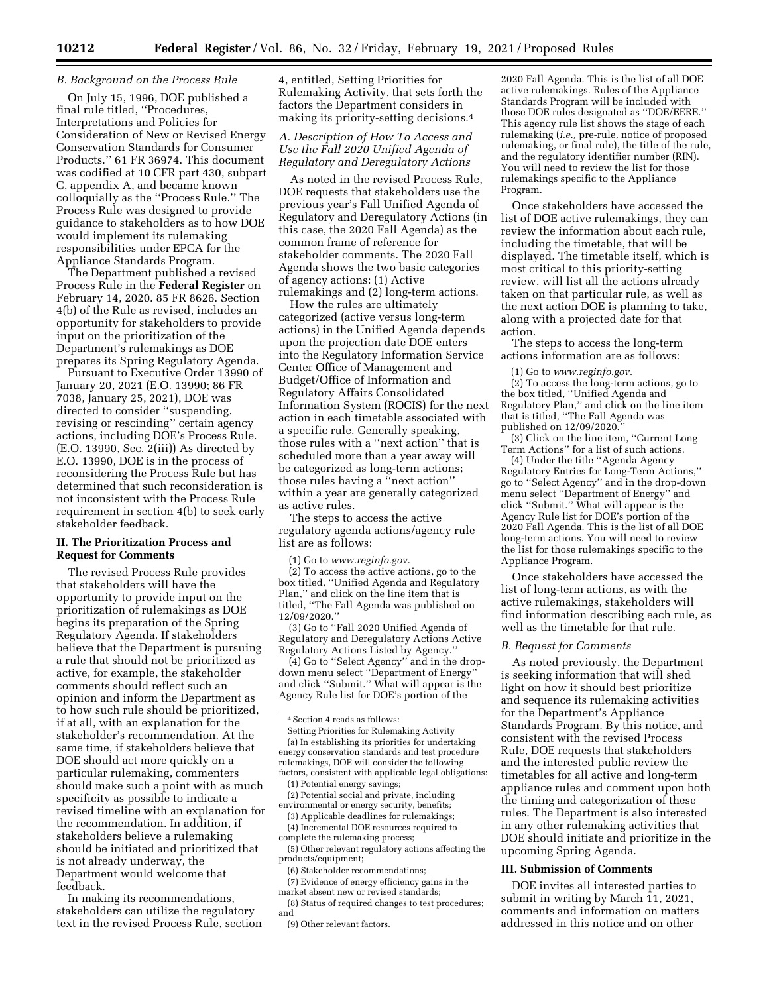## *B. Background on the Process Rule*

On July 15, 1996, DOE published a final rule titled, ''Procedures, Interpretations and Policies for Consideration of New or Revised Energy Conservation Standards for Consumer Products.'' 61 FR 36974. This document was codified at 10 CFR part 430, subpart C, appendix A, and became known colloquially as the ''Process Rule.'' The Process Rule was designed to provide guidance to stakeholders as to how DOE would implement its rulemaking responsibilities under EPCA for the Appliance Standards Program.

The Department published a revised Process Rule in the **Federal Register** on February 14, 2020. 85 FR 8626. Section 4(b) of the Rule as revised, includes an opportunity for stakeholders to provide input on the prioritization of the Department's rulemakings as DOE prepares its Spring Regulatory Agenda.

Pursuant to Executive Order 13990 of January 20, 2021 (E.O. 13990; 86 FR 7038, January 25, 2021), DOE was directed to consider ''suspending, revising or rescinding'' certain agency actions, including DOE's Process Rule. (E.O. 13990, Sec. 2(iii)) As directed by E.O. 13990, DOE is in the process of reconsidering the Process Rule but has determined that such reconsideration is not inconsistent with the Process Rule requirement in section 4(b) to seek early stakeholder feedback.

#### **II. The Prioritization Process and Request for Comments**

The revised Process Rule provides that stakeholders will have the opportunity to provide input on the prioritization of rulemakings as DOE begins its preparation of the Spring Regulatory Agenda. If stakeholders believe that the Department is pursuing a rule that should not be prioritized as active, for example, the stakeholder comments should reflect such an opinion and inform the Department as to how such rule should be prioritized, if at all, with an explanation for the stakeholder's recommendation. At the same time, if stakeholders believe that DOE should act more quickly on a particular rulemaking, commenters should make such a point with as much specificity as possible to indicate a revised timeline with an explanation for the recommendation. In addition, if stakeholders believe a rulemaking should be initiated and prioritized that is not already underway, the Department would welcome that feedback.

In making its recommendations, stakeholders can utilize the regulatory text in the revised Process Rule, section 4, entitled, Setting Priorities for Rulemaking Activity, that sets forth the factors the Department considers in making its priority-setting decisions.4

## *A. Description of How To Access and Use the Fall 2020 Unified Agenda of Regulatory and Deregulatory Actions*

As noted in the revised Process Rule, DOE requests that stakeholders use the previous year's Fall Unified Agenda of Regulatory and Deregulatory Actions (in this case, the 2020 Fall Agenda) as the common frame of reference for stakeholder comments. The 2020 Fall Agenda shows the two basic categories of agency actions: (1) Active rulemakings and (2) long-term actions.

How the rules are ultimately categorized (active versus long-term actions) in the Unified Agenda depends upon the projection date DOE enters into the Regulatory Information Service Center Office of Management and Budget/Office of Information and Regulatory Affairs Consolidated Information System (ROCIS) for the next action in each timetable associated with a specific rule. Generally speaking, those rules with a ''next action'' that is scheduled more than a year away will be categorized as long-term actions; those rules having a ''next action'' within a year are generally categorized as active rules.

The steps to access the active regulatory agenda actions/agency rule list are as follows:

(1) Go to *[www.reginfo.gov](http://www.reginfo.gov)*.

(2) To access the active actions, go to the box titled, ''Unified Agenda and Regulatory Plan,'' and click on the line item that is titled, ''The Fall Agenda was published on 12/09/2020.''

(3) Go to ''Fall 2020 Unified Agenda of Regulatory and Deregulatory Actions Active Regulatory Actions Listed by Agency.''

(4) Go to ''Select Agency'' and in the dropdown menu select ''Department of Energy'' and click ''Submit.'' What will appear is the Agency Rule list for DOE's portion of the

Setting Priorities for Rulemaking Activity (a) In establishing its priorities for undertaking energy conservation standards and test procedure rulemakings, DOE will consider the following factors, consistent with applicable legal obligations:

(1) Potential energy savings; (2) Potential social and private, including environmental or energy security, benefits;

(3) Applicable deadlines for rulemakings;

(4) Incremental DOE resources required to complete the rulemaking process;

(5) Other relevant regulatory actions affecting the products/equipment;

(6) Stakeholder recommendations; (7) Evidence of energy efficiency gains in the

market absent new or revised standards; (8) Status of required changes to test procedures; and

2020 Fall Agenda. This is the list of all DOE active rulemakings. Rules of the Appliance Standards Program will be included with those DOE rules designated as "DOE/EERE." This agency rule list shows the stage of each rulemaking (*i.e.,* pre-rule, notice of proposed rulemaking, or final rule), the title of the rule, and the regulatory identifier number (RIN). You will need to review the list for those rulemakings specific to the Appliance Program.

Once stakeholders have accessed the list of DOE active rulemakings, they can review the information about each rule, including the timetable, that will be displayed. The timetable itself, which is most critical to this priority-setting review, will list all the actions already taken on that particular rule, as well as the next action DOE is planning to take, along with a projected date for that action.

The steps to access the long-term actions information are as follows:

(1) Go to *[www.reginfo.gov](http://www.reginfo.gov)*.

(2) To access the long-term actions, go to the box titled, ''Unified Agenda and Regulatory Plan,'' and click on the line item that is titled, ''The Fall Agenda was published on 12/09/2020.''

(3) Click on the line item, ''Current Long Term Actions'' for a list of such actions.

(4) Under the title ''Agenda Agency Regulatory Entries for Long-Term Actions,'' go to ''Select Agency'' and in the drop-down menu select ''Department of Energy'' and click ''Submit.'' What will appear is the Agency Rule list for DOE's portion of the 2020 Fall Agenda. This is the list of all DOE long-term actions. You will need to review the list for those rulemakings specific to the Appliance Program.

Once stakeholders have accessed the list of long-term actions, as with the active rulemakings, stakeholders will find information describing each rule, as well as the timetable for that rule.

#### *B. Request for Comments*

As noted previously, the Department is seeking information that will shed light on how it should best prioritize and sequence its rulemaking activities for the Department's Appliance Standards Program. By this notice, and consistent with the revised Process Rule, DOE requests that stakeholders and the interested public review the timetables for all active and long-term appliance rules and comment upon both the timing and categorization of these rules. The Department is also interested in any other rulemaking activities that DOE should initiate and prioritize in the upcoming Spring Agenda.

#### **III. Submission of Comments**

DOE invites all interested parties to submit in writing by March 11, 2021, comments and information on matters addressed in this notice and on other

<sup>4</sup>Section 4 reads as follows:

<sup>(9)</sup> Other relevant factors.